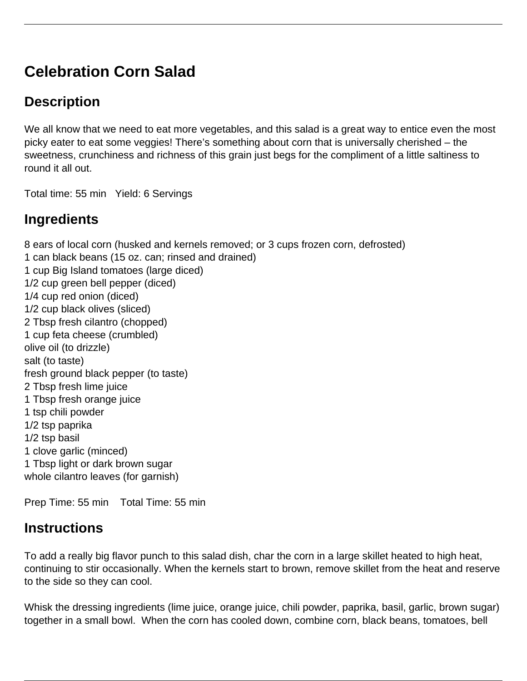# **Celebration Corn Salad**

## **Description**

We all know that we need to eat more vegetables, and this salad is a great way to entice even the most picky eater to eat some veggies! There's something about corn that is universally cherished – the sweetness, crunchiness and richness of this grain just begs for the compliment of a little saltiness to round it all out.

Total time: 55 min Yield: 6 Servings

### **Ingredients**

8 ears of local corn (husked and kernels removed; or 3 cups frozen corn, defrosted) 1 can black beans (15 oz. can; rinsed and drained) 1 cup Big Island tomatoes (large diced) 1/2 cup green bell pepper (diced) 1/4 cup red onion (diced) 1/2 cup black olives (sliced) 2 Tbsp fresh cilantro (chopped) 1 cup feta cheese (crumbled) olive oil (to drizzle) salt (to taste) fresh ground black pepper (to taste) 2 Tbsp fresh lime juice 1 Tbsp fresh orange juice 1 tsp chili powder 1/2 tsp paprika 1/2 tsp basil 1 clove garlic (minced) 1 Tbsp light or dark brown sugar whole cilantro leaves (for garnish)

Prep Time: 55 min Total Time: 55 min

### **Instructions**

To add a really big flavor punch to this salad dish, char the corn in a large skillet heated to high heat, continuing to stir occasionally. When the kernels start to brown, remove skillet from the heat and reserve to the side so they can cool.

Whisk the dressing ingredients (lime juice, orange juice, chili powder, paprika, basil, garlic, brown sugar) together in a small bowl. When the corn has cooled down, combine corn, black beans, tomatoes, bell